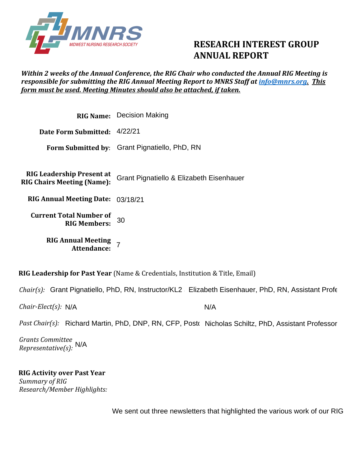

# **RESEARCH INTEREST GROUP ANNUAL REPORT**

### *Within 2 weeks of the Annual Conference, the RIG Chair who conducted the Annual RIG Meeting is responsible for submitting the RIG Annual Meeting Report to MNRS Staff at [info@mnrs.org.](mailto:info@mnrs.org) This form must be used. Meeting Minutes should also be attached, if taken.*

|                                                                       | <b>RIG Name:</b> Decision Making              |
|-----------------------------------------------------------------------|-----------------------------------------------|
| Date Form Submitted: 4/22/21                                          |                                               |
|                                                                       | Form Submitted by: Grant Pignatiello, PhD, RN |
|                                                                       |                                               |
| <b>RIG Leadership Present at</b><br><b>RIG Chairs Meeting (Name):</b> | Grant Pignatiello & Elizabeth Eisenhauer      |
| <b>RIG Annual Meeting Date: 03/18/21</b>                              |                                               |
| <b>Current Total Number of</b><br><b>RIG Members:</b>                 | 30                                            |
| <b>RIG Annual Meeting</b><br>Attendance:                              |                                               |

**RIG Leadership for Past Year** (Name & Credentials, Institution & Title, Email)

Chair(s): Grant Pignatiello, PhD, RN, Instructor/KL2 Elizabeth Eisenhauer, PhD, RN, Assistant Profe

*Chair-Elect(s):*  N/A

*Chair-Elect(s): N/*A<br>*Past Chair(s):* Richard Martin, PhD, DNP, RN, CFP, Postৌ Nicholas Schiltz, PhD, Assistant Professor

*Grants Committee Representative(s):*  N/A

**RIG Activity over Past Year**  *Summary of RIG Research/Member Highlights:* 

We sent out three newsletters that highlighted the various work of our RIG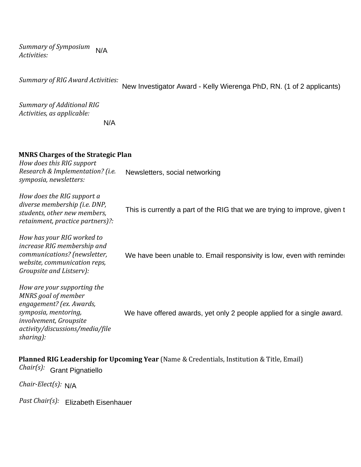*Summary of Symposium Activities:*  N/A

*Summary of RIG Award Activities:* 

New Investigator Award - Kelly Wierenga PhD, RN. (1 of 2 applicants)

*Summary of Additional RIG Activities, as applicable:*

N/A

#### **MNRS Charges of the Strategic Plan**

*How does this RIG support Research & Implementation? (i.e. symposia, newsletters:* Newsletters, social networking

*How does the RIG support a diverse membership (i.e. DNP, students, other new members, retainment, practice partners)?:*

*How has your RIG worked to increase RIG membership and communications? (newsletter, website, communication reps, Groupsite and Listserv):* This is currently a part of the RIG that we are trying to improve, given t<br><br>We have been unable to. Email responsivity is low, even with reminder

*How are your supporting the MNRS goal of member engagement? (ex. Awards, symposia, mentoring, involvement, Groupsite activity/discussions/media/file sharing):* We have offered awards, yet only 2 people applied for a single award.

### **Planned RIG Leadership for Upcoming Year** (Name & Credentials, Institution & Title, Email)

*Chair(s):*  Grant Pignatiello

*Chair-Elect(s):*  N/A

*Past Chair(s):*  Elizabeth Eisenhauer